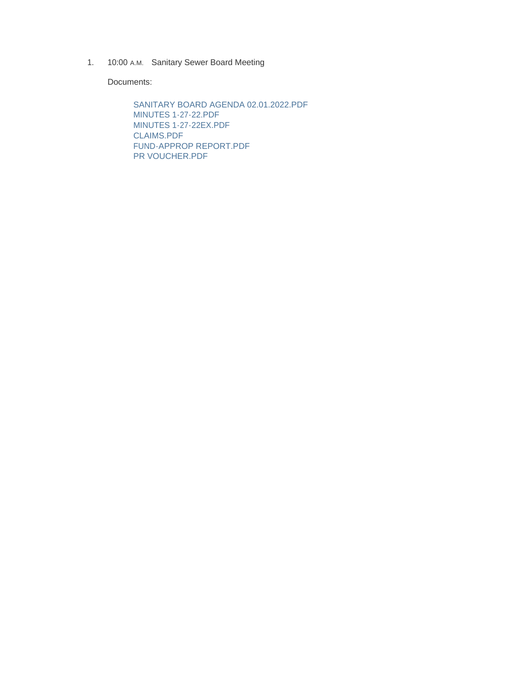1. 10:00 A.M. Sanitary Sewer Board Meeting

Documents:

SANITARY BOARD AGENDA 02.01.2022.PDF MINUTES 1-27-22.PDF MINUTES 1-27-22EX.PDF CLAIMS.PDF FUND-APPROP REPORT.PDF PR VOUCHER.PDF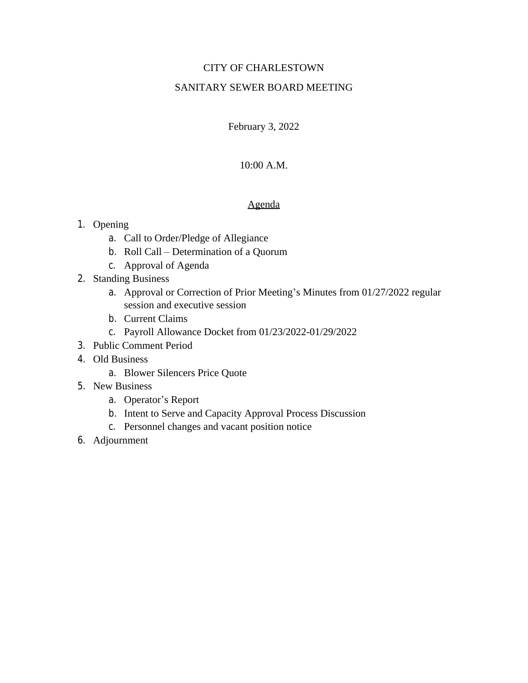# CITY OF CHARLESTOWN

# SANITARY SEWER BOARD MEETING

February 3, 2022

# 10:00 A.M.

# Agenda

# 1. Opening

- a. Call to Order/Pledge of Allegiance
- b. Roll Call Determination of a Quorum
- c. Approval of Agenda
- 2. Standing Business
	- a. Approval or Correction of Prior Meeting's Minutes from 01/27/2022 regular session and executive session
	- b. Current Claims
	- c. Payroll Allowance Docket from 01/23/2022-01/29/2022
- 3. Public Comment Period
- 4. Old Business
	- a. Blower Silencers Price Quote
- 5. New Business
	- a. Operator's Report
	- b. Intent to Serve and Capacity Approval Process Discussion
	- c. Personnel changes and vacant position notice
- 6. Adjournment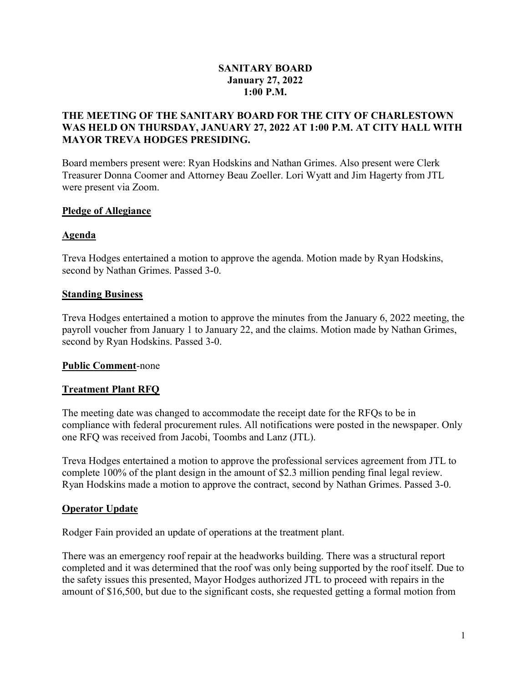# SANITARY BOARD January 27, 2022 1:00 P.M.

# THE MEETING OF THE SANITARY BOARD FOR THE CITY OF CHARLESTOWN WAS HELD ON THURSDAY, JANUARY 27, 2022 AT 1:00 P.M. AT CITY HALL WITH MAYOR TREVA HODGES PRESIDING.

Board members present were: Ryan Hodskins and Nathan Grimes. Also present were Clerk Treasurer Donna Coomer and Attorney Beau Zoeller. Lori Wyatt and Jim Hagerty from JTL were present via Zoom.

## Pledge of Allegiance

# Agenda

Treva Hodges entertained a motion to approve the agenda. Motion made by Ryan Hodskins, second by Nathan Grimes. Passed 3-0.

# Standing Business

Treva Hodges entertained a motion to approve the minutes from the January 6, 2022 meeting, the payroll voucher from January 1 to January 22, and the claims. Motion made by Nathan Grimes, second by Ryan Hodskins. Passed 3-0.

# Public Comment-none

# Treatment Plant RFQ

The meeting date was changed to accommodate the receipt date for the RFQs to be in compliance with federal procurement rules. All notifications were posted in the newspaper. Only one RFQ was received from Jacobi, Toombs and Lanz (JTL).

Treva Hodges entertained a motion to approve the professional services agreement from JTL to complete 100% of the plant design in the amount of \$2.3 million pending final legal review. Ryan Hodskins made a motion to approve the contract, second by Nathan Grimes. Passed 3-0.

# Operator Update

Rodger Fain provided an update of operations at the treatment plant.

There was an emergency roof repair at the headworks building. There was a structural report completed and it was determined that the roof was only being supported by the roof itself. Due to the safety issues this presented, Mayor Hodges authorized JTL to proceed with repairs in the amount of \$16,500, but due to the significant costs, she requested getting a formal motion from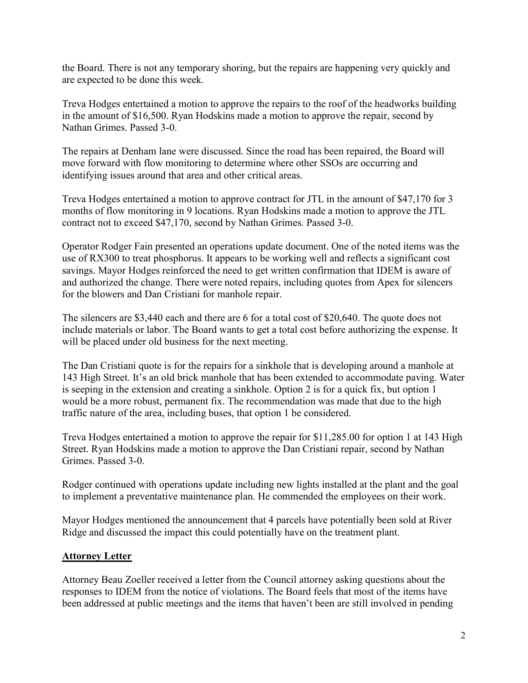the Board. There is not any temporary shoring, but the repairs are happening very quickly and are expected to be done this week.

Treva Hodges entertained a motion to approve the repairs to the roof of the headworks building in the amount of \$16,500. Ryan Hodskins made a motion to approve the repair, second by Nathan Grimes. Passed 3-0.

The repairs at Denham lane were discussed. Since the road has been repaired, the Board will move forward with flow monitoring to determine where other SSOs are occurring and identifying issues around that area and other critical areas.

Treva Hodges entertained a motion to approve contract for JTL in the amount of \$47,170 for 3 months of flow monitoring in 9 locations. Ryan Hodskins made a motion to approve the JTL contract not to exceed \$47,170, second by Nathan Grimes. Passed 3-0.

Operator Rodger Fain presented an operations update document. One of the noted items was the use of RX300 to treat phosphorus. It appears to be working well and reflects a significant cost savings. Mayor Hodges reinforced the need to get written confirmation that IDEM is aware of and authorized the change. There were noted repairs, including quotes from Apex for silencers for the blowers and Dan Cristiani for manhole repair.

The silencers are \$3,440 each and there are 6 for a total cost of \$20,640. The quote does not include materials or labor. The Board wants to get a total cost before authorizing the expense. It will be placed under old business for the next meeting.

The Dan Cristiani quote is for the repairs for a sinkhole that is developing around a manhole at 143 High Street. It's an old brick manhole that has been extended to accommodate paving. Water is seeping in the extension and creating a sinkhole. Option 2 is for a quick fix, but option 1 would be a more robust, permanent fix. The recommendation was made that due to the high traffic nature of the area, including buses, that option 1 be considered.

Treva Hodges entertained a motion to approve the repair for \$11,285.00 for option 1 at 143 High Street. Ryan Hodskins made a motion to approve the Dan Cristiani repair, second by Nathan Grimes. Passed 3-0.

Rodger continued with operations update including new lights installed at the plant and the goal to implement a preventative maintenance plan. He commended the employees on their work.

Mayor Hodges mentioned the announcement that 4 parcels have potentially been sold at River Ridge and discussed the impact this could potentially have on the treatment plant.

# **Attorney Letter**

Attorney Beau Zoeller received a letter from the Council attorney asking questions about the responses to IDEM from the notice of violations. The Board feels that most of the items have been addressed at public meetings and the items that haven't been are still involved in pending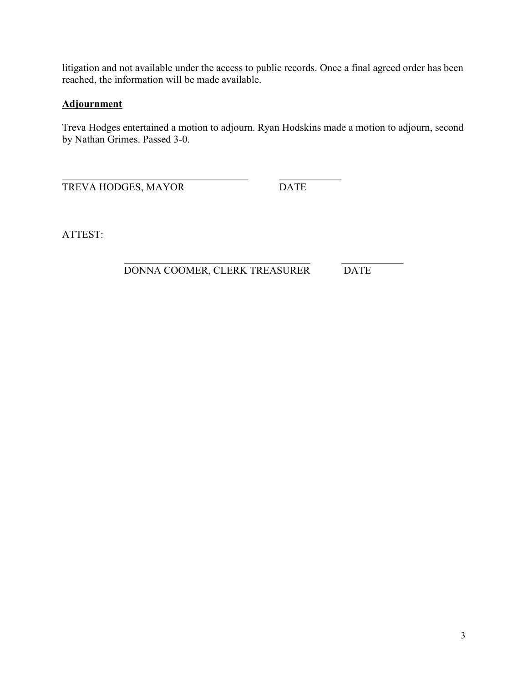litigation and not available under the access to public records. Once a final agreed order has been reached, the information will be made available.

# **Adjournment**

Treva Hodges entertained a motion to adjourn. Ryan Hodskins made a motion to adjourn, second by Nathan Grimes. Passed 3-0.

 $\overline{a}$ TREVA HODGES, MAYOR DATE

ATTEST:

 $\overline{a}$ DONNA COOMER, CLERK TREASURER DATE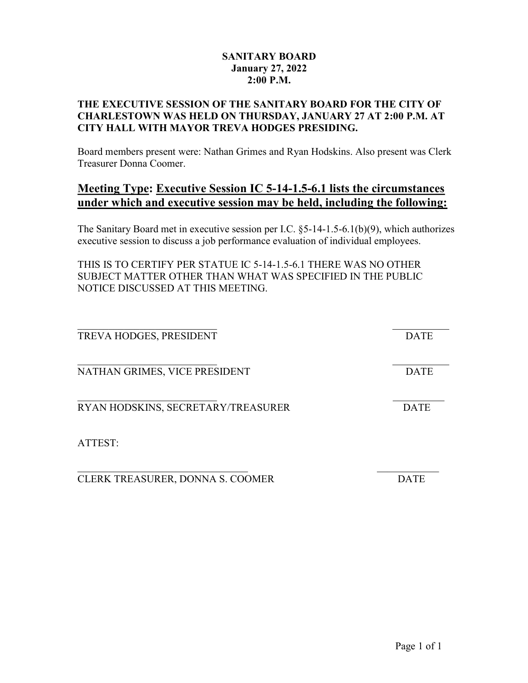# SANITARY BOARD January 27, 2022 2:00 P.M.

# THE EXECUTIVE SESSION OF THE SANITARY BOARD FOR THE CITY OF CHARLESTOWN WAS HELD ON THURSDAY, JANUARY 27 AT 2:00 P.M. AT CITY HALL WITH MAYOR TREVA HODGES PRESIDING.

Board members present were: Nathan Grimes and Ryan Hodskins. Also present was Clerk Treasurer Donna Coomer.

# Meeting Type: Executive Session IC 5-14-1.5-6.1 lists the circumstances under which and executive session may be held, including the following:

The Sanitary Board met in executive session per I.C. §5-14-1.5-6.1(b)(9), which authorizes executive session to discuss a job performance evaluation of individual employees.

THIS IS TO CERTIFY PER STATUE IC 5-14-1.5-6.1 THERE WAS NO OTHER SUBJECT MATTER OTHER THAN WHAT WAS SPECIFIED IN THE PUBLIC NOTICE DISCUSSED AT THIS MEETING.

| TREVA HODGES, PRESIDENT            | <b>DATE</b> |
|------------------------------------|-------------|
| NATHAN GRIMES, VICE PRESIDENT      | <b>DATE</b> |
| RYAN HODSKINS, SECRETARY/TREASURER | <b>DATE</b> |
| ATTEST:                            |             |
| CLERK TREASURER, DONNA S. COOMER   | 1ATE        |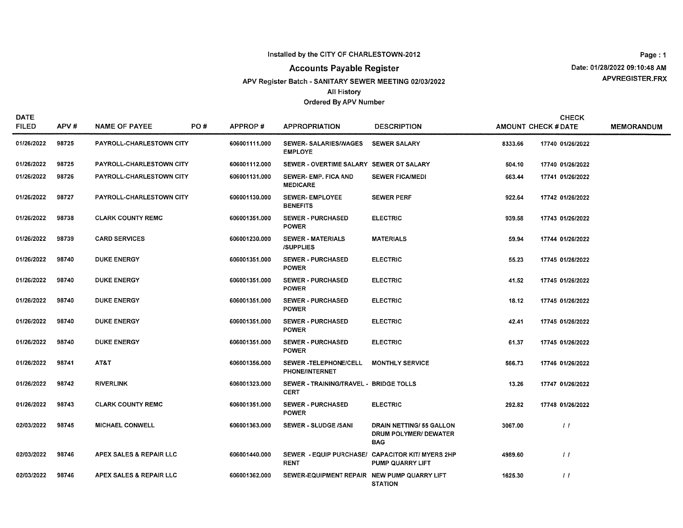### Installed by the CITY OF CHARLESTOWN-2012

## **Accounts Payable Register**

APV Register Batch - SANITARY SEWER MEETING 02/03/2022 **All History** 

#### Ordered By APV Number

Page: 1 Date: 01/28/2022 09:10:48 AM APVREGISTER.FRX

| <b>DATE</b><br><b>FILED</b> | APV#  | <b>NAME OF PAYEE</b>     | PO# | APPROP#       | <b>APPROPRIATION</b>                                  | <b>DESCRIPTION</b>                                                    |         | <b>CHECK</b><br><b>AMOUNT CHECK # DATE</b> | <b>MEMORANDUM</b> |
|-----------------------------|-------|--------------------------|-----|---------------|-------------------------------------------------------|-----------------------------------------------------------------------|---------|--------------------------------------------|-------------------|
| 01/26/2022                  | 98725 | PAYROLL-CHARLESTOWN CITY |     | 606001111.000 | <b>SEWER- SALARIES/WAGES</b><br><b>EMPLOYE</b>        | <b>SEWER SALARY</b>                                                   | 8333.66 | 17740 01/26/2022                           |                   |
| 01/26/2022                  | 98725 | PAYROLL-CHARLESTOWN CITY |     | 606001112.000 | SEWER - OVERTIME SALARY SEWER OT SALARY               |                                                                       | 504.10  | 17740 01/26/2022                           |                   |
| 01/26/2022                  | 98726 | PAYROLL-CHARLESTOWN CITY |     | 606001131.000 | SEWER- EMP. FICA AND<br><b>MEDICARE</b>               | <b>SEWER FICA/MEDI</b>                                                | 663.44  | 17741 01/26/2022                           |                   |
| 01/26/2022                  | 98727 | PAYROLL-CHARLESTOWN CITY |     | 606001130.000 | <b>SEWER-EMPLOYEE</b><br><b>BENEFITS</b>              | <b>SEWER PERF</b>                                                     | 922.64  | 17742 01/26/2022                           |                   |
| 01/26/2022                  | 98738 | <b>CLARK COUNTY REMC</b> |     | 606001351.000 | <b>SEWER - PURCHASED</b><br><b>POWER</b>              | <b>ELECTRIC</b>                                                       | 939.58  | 17743 01/26/2022                           |                   |
| 01/26/2022                  | 98739 | <b>CARD SERVICES</b>     |     | 606001230.000 | <b>SEWER - MATERIALS</b><br><b>/SUPPLIES</b>          | <b>MATERIALS</b>                                                      | 59.94   | 17744 01/26/2022                           |                   |
| 01/26/2022                  | 98740 | <b>DUKE ENERGY</b>       |     | 606001351.000 | <b>SEWER - PURCHASED</b><br><b>POWER</b>              | <b>ELECTRIC</b>                                                       | 55.23   | 17745 01/26/2022                           |                   |
| 01/26/2022                  | 98740 | <b>DUKE ENERGY</b>       |     | 606001351.000 | <b>SEWER - PURCHASED</b><br><b>POWER</b>              | <b>ELECTRIC</b>                                                       | 41.52   | 17745 01/26/2022                           |                   |
| 01/26/2022                  | 98740 | <b>DUKE ENERGY</b>       |     | 606001351.000 | <b>SEWER - PURCHASED</b><br><b>POWER</b>              | <b>ELECTRIC</b>                                                       | 18.12   | 17745 01/26/2022                           |                   |
| 01/26/2022                  | 98740 | <b>DUKE ENERGY</b>       |     | 606001351.000 | <b>SEWER - PURCHASED</b><br><b>POWER</b>              | <b>ELECTRIC</b>                                                       | 42.41   | 17745 01/26/2022                           |                   |
| 01/26/2022                  | 98740 | <b>DUKE ENERGY</b>       |     | 606001351.000 | <b>SEWER - PURCHASED</b><br><b>POWER</b>              | <b>ELECTRIC</b>                                                       | 61.37   | 17745 01/26/2022                           |                   |
| 01/26/2022                  | 98741 | AT&T                     |     | 606001356.000 | SEWER-TELEPHONE/CELL<br><b>PHONE/INTERNET</b>         | <b>MONTHLY SERVICE</b>                                                | 566.73  | 17746 01/26/2022                           |                   |
| 01/26/2022                  | 98742 | <b>RIVERLINK</b>         |     | 606001323.000 | SEWER - TRAINING/TRAVEL - BRIDGE TOLLS<br><b>CERT</b> |                                                                       | 13.26   | 17747 01/26/2022                           |                   |
| 01/26/2022                  | 98743 | <b>CLARK COUNTY REMC</b> |     | 606001351.000 | <b>SEWER - PURCHASED</b><br><b>POWER</b>              | <b>ELECTRIC</b>                                                       | 292.82  | 17748 01/26/2022                           |                   |
| 02/03/2022                  | 98745 | <b>MICHAEL CONWELL</b>   |     | 606001363.000 | SEWER - SLUDGE /SANI                                  | <b>DRAIN NETTING/55 GALLON</b><br>DRUM POLYMER/ DEWATER<br><b>BAG</b> | 3067.00 | $\left  \right $                           |                   |
| 02/03/2022                  | 98746 | APEX SALES & REPAIR LLC  |     | 606001440.000 | <b>RENT</b>                                           | SEWER - EQUIP PURCHASE/ CAPACITOR KIT/ MYERS 2HP<br>PUMP QUARRY LIFT  | 4989.60 | $\frac{1}{2}$                              |                   |
| 02/03/2022                  | 98746 | APEX SALES & REPAIR LLC  |     | 606001362.000 | SEWER-EQUIPMENT REPAIR NEW PUMP QUARRY LIFT           | <b>STATION</b>                                                        | 1625.30 | $\frac{1}{2}$                              |                   |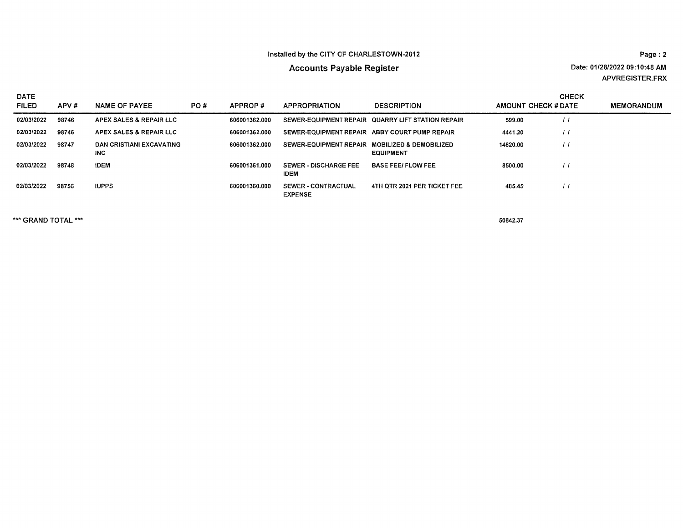### Installed by the CITY OF CHARLESTOWN-2012

# **Accounts Payable Register**

Page: 2 Date: 01/28/2022 09:10:48 AM APVREGISTER.FRX

| <b>DATE</b>  |       |                                  |     |               |                                                |                                                   |                     | <b>CHECK</b> |                   |
|--------------|-------|----------------------------------|-----|---------------|------------------------------------------------|---------------------------------------------------|---------------------|--------------|-------------------|
| <b>FILED</b> | APV#  | <b>NAME OF PAYEE</b>             | PO# | APPROP#       | <b>APPROPRIATION</b>                           | <b>DESCRIPTION</b>                                | AMOUNT CHECK # DATE |              | <b>MEMORANDUM</b> |
| 02/03/2022   | 98746 | APEX SALES & REPAIR LLC          |     | 606001362.000 |                                                | SEWER-EQUIPMENT REPAIR QUARRY LIFT STATION REPAIR | 599.00              | $\prime$     |                   |
| 02/03/2022   | 98746 | APEX SALES & REPAIR LLC          |     | 606001362.000 | SEWER-EQUIPMENT REPAIR ABBY COURT PUMP REPAIR  |                                                   | 4441.20             | $^{\prime}$  |                   |
| 02/03/2022   | 98747 | DAN CRISTIANI EXCAVATING<br>INC. |     | 606001362.000 | SEWER-EQUIPMENT REPAIR MOBILIZED & DEMOBILIZED | <b>EQUIPMENT</b>                                  | 14620.00            |              |                   |
| 02/03/2022   | 98748 | <b>IDEM</b>                      |     | 606001361.000 | <b>SEWER - DISCHARGE FEE</b><br><b>IDEM</b>    | <b>BASE FEEI FLOW FEE</b>                         | 8500.00             | $^{\prime}$  |                   |
| 02/03/2022   | 98756 | <b>IUPPS</b>                     |     | 606001360.000 | <b>SEWER - CONTRACTUAL</b><br><b>EXPENSE</b>   | 4TH QTR 2021 PER TICKET FEE                       | 485.45              |              |                   |

\*\*\* GRAND TOTAL \*\*\*

50842.37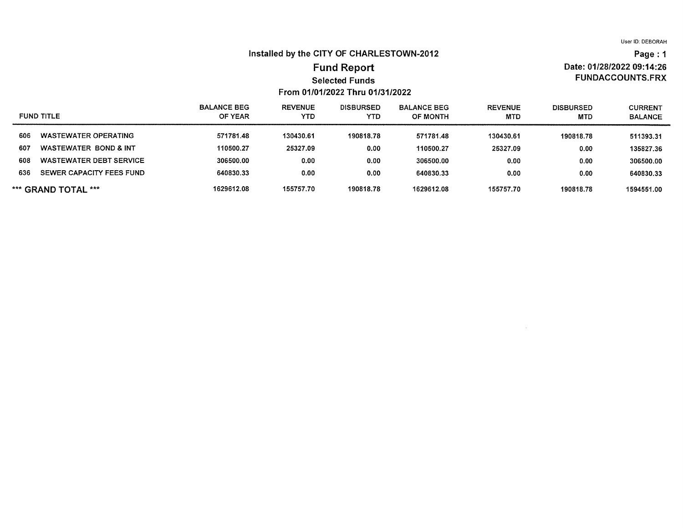Date: 01/28/2022 09:14:26

**FUNDACCOUNTS.FRX** 

Page: 1

#### Installed by the CITY OF CHARLESTOWN-2012

## **Fund Report Selected Funds** From 01/01/2022 Thru 01/31/2022

#### **REVENUE BALANCE BEG DISBURSED BALANCE BEG REVENUE DISBURSED CURRENT FUND TITLE** OF YEAR **YTD YTD** OF MONTH **MTD MTD BALANCE WASTEWATER OPERATING** 571781.48 130430.61 190818.78 571781.48 130430.61 606 190818.78 511393.31 607 **WASTEWATER BOND & INT** 110500.27 25327.09  $0.00$ 110500.27 25327.09  $0.00$ 135827.36 **WASTEWATER DEBT SERVICE** 306500.00  $0.00$ 608  $0.00$ 306500.00  $0.00$  $0.00$ 306500.00 SEWER CAPACITY FEES FUND 636 640830.33  $0.00$  $0.00$ 640830.33  $0.00$  $0.00$ 640830.33 \*\*\* GRAND TOTAL \*\*\* 1629612.08 155757.70 190818.78 1629612.08 155757.70 190818.78 1594551.00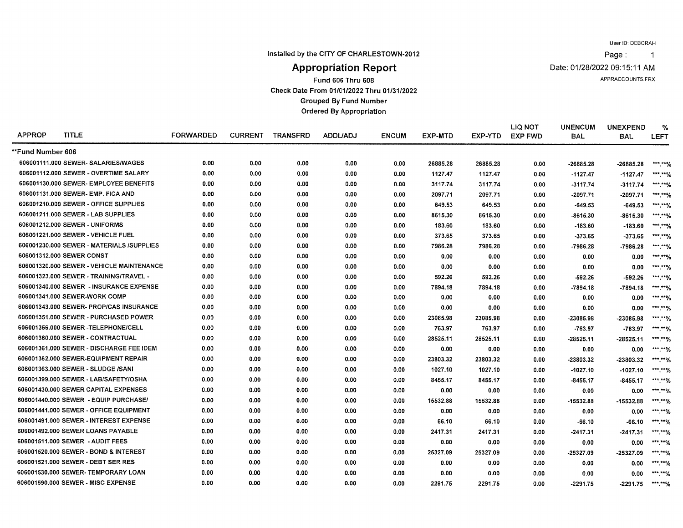Page:  $\overline{1}$ 

Installed by the CITY OF CHARLESTOWN-2012

Date: 01/28/2022 09:15:11 AM

APPRACCOUNTS.FRX

# **Appropriation Report**

Fund 606 Thru 608

Check Date From 01/01/2022 Thru 01/31/2022

**Grouped By Fund Number** 

**Ordered By Appropriation** 

| <b>APPROP</b>     | <b>TITLE</b>                              | <b>FORWARDED</b> | <b>CURRENT</b> | <b>TRANSFRD</b> | <b>ADDL/ADJ</b> | <b>ENCUM</b> | <b>EXP-MTD</b> | EXP-YTD  | <b>LIQ NOT</b><br><b>EXP FWD</b> | <b>UNENCUM</b><br><b>BAL</b> | <b>UNEXPEND</b><br><b>BAL</b> | %<br><b>LEFT</b>         |
|-------------------|-------------------------------------------|------------------|----------------|-----------------|-----------------|--------------|----------------|----------|----------------------------------|------------------------------|-------------------------------|--------------------------|
| **Fund Number 606 |                                           |                  |                |                 |                 |              |                |          |                                  |                              |                               |                          |
|                   | 606001111.000 SEWER- SALARIES/WAGES       | 0.00             | 0.00           | 0.00            | 0.00            | 0.00         | 26885.28       | 26885.28 | 0.00                             | -26885.28                    | $-26885.28$                   | *** **%                  |
|                   | 606001112.000 SEWER - OVERTIME SALARY     | 0.00             | 0.00           | 0.00            | 0.00            | 0.00         | 1127.47        | 1127.47  | 0.00                             | $-1127.47$                   | $-1127.47$                    | ***.**%                  |
|                   | 606001130.000 SEWER- EMPLOYEE BENEFITS    | 0.00             | 0.00           | 0.00            | 0.00            | 0.00         | 3117.74        | 3117.74  | 0.00                             | $-3117.74$                   | $-3117.74$                    | *** ****/                |
|                   | 606001131.000 SEWER- EMP. FICA AND        | 0.00             | 0.00           | 0.00            | 0.00            | 0.00         | 2097.71        | 2097.71  | 0.00                             | -2097.71                     | -2097.71                      | *** **0/                 |
|                   | 606001210.000 SEWER - OFFICE SUPPLIES     | 0.00             | 0.00           | 0.00            | 0.00            | 0.00         | 649.53         | 649.53   | 0.00                             | $-649.53$                    | $-649.53$                     | $*****0/$                |
|                   | 606001211.000 SEWER - LAB SUPPLIES        | 0.00             | 0.00           | 0.00            | 0.00            | 0.00         | 8615.30        | 8615.30  | 0.00                             | -8615.30                     | -8615.30                      | $***$ $**$ $\frac{1}{6}$ |
|                   | 606001212.000 SEWER - UNIFORMS            | 0.00             | 0.00           | 0.00            | 0.00            | 0.00         | 183.60         | 183.60   | 0.00                             | $-183.60$                    | -183.60                       | ***.**%                  |
|                   | 606001221.000 SEWER - VEHICLE FUEL        | 0.00             | 0.00           | 0.00            | 0.00            | 0.00         | 373.65         | 373.65   | 0.00                             | $-373.65$                    | $-373.65$                     | ***.**%                  |
|                   | 606001230.000 SEWER - MATERIALS /SUPPLIES | 0.00             | 0.00           | 0.00            | 0.00            | 0.00         | 7986.28        | 7986.28  | 0.00                             | -7986.28                     | -7986.28                      | ***.**%                  |
|                   | 606001312.000 SEWER CONST                 | 0.00             | 0.00           | 0.00            | 0.00            | 0.00         | 0.00           | 0.00     | 0.00                             | 0.00                         | 0.00                          | ***.**%                  |
|                   | 606001320.000 SEWER - VEHICLE MAINTENANCE | 0.00             | 0.00           | 0.00            | 0.00            | 0.00         | 0.00           | 0.00     | 0.00                             | 0.00                         | 0.00                          | ***.**%                  |
|                   | 606001323.000 SEWER - TRAINING/TRAVEL -   | 0.00             | 0.00           | 0.00            | 0.00            | 0.00         | 592.26         | 592.26   | 0.00                             | $-592.26$                    | $-592.26$                     | ***.**%                  |
|                   | 606001340.000 SEWER - INSURANCE EXPENSE   | 0.00             | 0.00           | 0.00            | 0.00            | 0.00         | 7894.18        | 7894.18  | 0.00                             | $-7894.18$                   | $-7894.18$                    | *** **%                  |
|                   | 606001341.000 SEWER-WORK COMP             | 0.00             | 0.00           | 0.00            | 0.00            | 0.00         | 0.00           | 0.00     | 0.00                             | 0.00                         | 0.00                          | ***.**%                  |
|                   | 606001343.000 SEWER- PROP/CAS INSURANCE   | 0.00             | 0.00           | 0.00            | 0.00            | 0.00         | 0.00           | 0.00     | 0.00                             | 0.00                         | 0.00                          | ***.**%                  |
|                   | 606001351.000 SEWER - PURCHASED POWER     | 0.00             | 0.00           | 0.00            | 0.00            | 0.00         | 23085.98       | 23085.98 | 0.00                             | -23085.98                    | -23085.98                     | ***.**%                  |
|                   | 606001356.000 SEWER -TELEPHONE/CELL       | 0.00             | 0.00           | 0.00            | 0.00            | 0.00         | 763.97         | 763.97   | 0.00                             | -763.97                      | $-763.97$                     | ***.**%                  |
|                   | 606001360.000 SEWER - CONTRACTUAL         | 0.00             | 0.00           | 0.00            | 0.00            | 0.00         | 28525.11       | 28525.11 | 0.00                             | -28525.11                    | $-28525.11$                   | *** **%                  |
|                   | 606001361.000 SEWER - DISCHARGE FEE IDEM  | 0.00             | 0.00           | 0.00            | 0.00            | 0.00         | 0.00           | 0.00     | 0.00                             | 0.00                         | 0.00                          | ***.**%                  |
|                   | 606001362.000 SEWER-EQUIPMENT REPAIR      | 0.00             | 0.00           | 0.00            | 0.00            | 0.00         | 23803.32       | 23803.32 | 0.00                             | -23803.32                    | -23803.32                     | ******%                  |
|                   | 606001363.000 SEWER - SLUDGE /SANI        | 0.00             | 0.00           | 0.00            | 0.00            | 0.00         | 1027.10        | 1027.10  | 0.00                             | $-1027.10$                   | $-1027.10$                    | ***.**%                  |
|                   | 606001399.000 SEWER - LAB/SAFETY/OSHA     | 0.00             | 0.00           | 0.00            | 0.00            | 0.00         | 8455.17        | 8455.17  | 0.00                             | $-8455.17$                   | $-8455.17$                    | ***.**%                  |
|                   | 606001430.000 SEWER CAPITAL EXPENSES      | 0.00             | 0.00           | 0.00            | 0.00            | 0.00         | 0.00           | 0.00     | 0.00                             | 0.00                         | 0.00                          | ***.**%                  |
|                   | 606001440.000 SEWER - EQUIP PURCHASE/     | 0.00             | 0.00           | 0.00            | 0.00            | 0.00         | 15532.88       | 15532.88 | 0.00                             | -15532.88                    | -15532.88                     | ***.**%                  |
|                   | 606001441.000 SEWER - OFFICE EQUIPMENT    | 0.00             | 0.00           | 0.00            | 0.00            | 0.00         | 0.00           | 0.00     | 0.00                             | 0.00                         | 0.00                          | ***.**%                  |
|                   | 606001491.000 SEWER - INTEREST EXPENSE    | 0.00             | 0.00           | 0.00            | 0.00            | 0.00         | 66.10          | 66.10    | 0.00                             | $-66.10$                     | -66.10                        | ***.**%                  |
|                   | 606001492.000 SEWER LOANS PAYABLE         | 0.00             | 0.00           | 0.00            | 0.00            | 0.00         | 2417.31        | 2417.31  | 0.00                             | $-2417.31$                   | $-2417.31$                    | ***.**%                  |
|                   | 606001511.000 SEWER - AUDIT FEES          | 0.00             | 0.00           | 0.00            | 0.00            | 0.00         | 0.00           | 0.00     | 0.00                             | 0.00                         | 0.00                          | $*****%$                 |
|                   | 606001520.000 SEWER - BOND & INTEREST     | 0.00             | 0.00           | 0.00            | 0.00            | 0.00         | 25327.09       | 25327.09 | 0.00                             | -25327.09                    | $-25327.09$                   | *** *** %                |
|                   | 606001521,000 SEWER - DEBT SER RES        | 0.00             | 0.00           | 0.00            | 0.00            | 0.00         | 0.00           | 0.00     | 0.00                             | 0.00                         | 0.00                          | ***.**%                  |
|                   | 606001530.000 SEWER-TEMPORARY LOAN        | 0.00             | 0.00           | 0.00            | 0.00            | 0.00         | 0.00           | 0.00     | 0.00                             | 0.00                         | 0.00                          | ***.**%                  |
|                   | 606001590.000 SEWER - MISC EXPENSE        | 0.00             | 0.00           | 0.00            | 0.00            | 0.00         | 2291.75        | 2291.75  | 0.00                             | $-2291.75$                   | -2291.75                      | *** *** %                |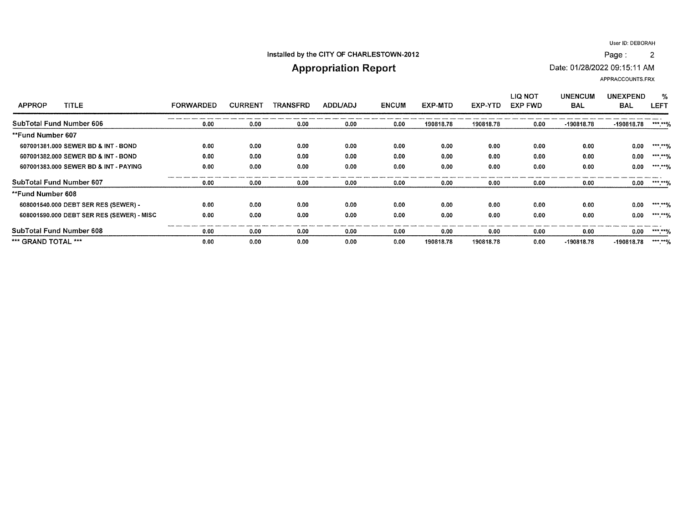$\overline{2}$ 

### Installed by the CITY OF CHARLESTOWN-2012

# **Appropriation Report**

Date: 01/28/2022 09:15:11 AM

APPRACCOUNTS.FRX

Page:

| <b>TITLE</b><br><b>APPROP</b>             | <b>FORWARDED</b> | <b>CURRENT</b> | <b>TRANSFRD</b> | ADDL/ADJ | <b>ENCUM</b> | EXP-MTD   | EXP-YTD   | LIQ NOT<br><b>EXP FWD</b> | <b>UNENCUM</b><br><b>BAL</b> | <b>UNEXPEND</b><br><b>BAL</b> | %<br>LEFT |
|-------------------------------------------|------------------|----------------|-----------------|----------|--------------|-----------|-----------|---------------------------|------------------------------|-------------------------------|-----------|
| SubTotal Fund Number 606                  | 0.00             | 0.00           | 0.00            | 0.00     | 0.00         | 190818.78 | 190818.78 | 0.00                      | $-190818.78$                 | -190818.78                    | ***.**%   |
| **Fund Number 607                         |                  |                |                 |          |              |           |           |                           |                              |                               |           |
| 607001381.000 SEWER BD & INT - BOND       | 0.00             | 0.00           | 0.00            | 0.00     | 0.00         | 0.00      | 0.00      | 0.00                      | 0.00                         | 0.00                          | ***.**%   |
| 607001382.000 SEWER BD & INT - BOND       | 0.00             | 0.00           | 0.00            | 0.00     | 0.00         | 0.00      | 0.00      | 0.00                      | 0.00                         | 0.00                          | ***.**%   |
| 607001383,000 SEWER BD & INT - PAYING     | 0.00             | 0.00           | 0.00            | 0.00     | 0.00         | 0.00      | 0.00      | 0.00                      | 0.00                         | 0.00                          | ***.**%   |
| SubTotal Fund Number 607                  | 0.00             | 0.00           | 0.00            | 0.00     | 0.00         | 0.00      | 0.00      | 0.00                      | 0.00                         | 0.00                          | ***.**%   |
| **Fund Number 608                         |                  |                |                 |          |              |           |           |                           |                              |                               |           |
| 608001540.000 DEBT SER RES (SEWER) -      | 0.00             | 0.00           | 0.00            | 0.00     | 0.00         | 0.00      | 0.00      | 0.00                      | 0.00                         | 0.00                          | ***.**%   |
| 608001590.000 DEBT SER RES (SEWER) - MISC | 0.00             | 0.00           | 0.00            | 0.00     | 0.00         | 0.00      | 0.00      | 0.00                      | 0.00                         | 0.00                          | *** *** % |
| SubTotal Fund Number 608                  | 0.00             | 0.00           | 0.00            | 0.00     | 0.00         | 0.00      | 0.00      | 0.00                      | 0.00                         | 0.00                          | ***.**%   |
| *** GRAND TOTAL ***                       | 0.00             | 0.00           | 0.00            | 0.00     | 0.00         | 190818.78 | 190818.78 | 0.00                      | -190818.78                   | -190818.78                    | ***.**%   |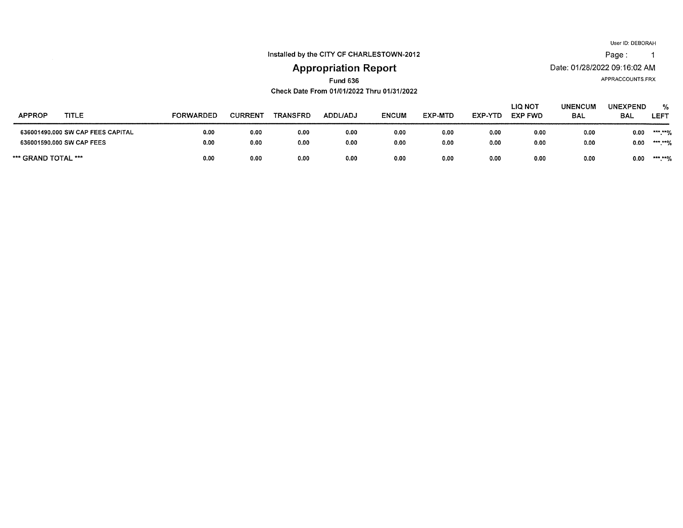Page: 1

Installed by the CITY OF CHARLESTOWN-2012

# **Appropriation Report**

APPRACCOUNTS.FRX

Date: 01/28/2022 09:16:02 AM

**Fund 636** Check Date From 01/01/2022 Thru 01/31/2022

| <b>APPROP</b><br><b>TITLE</b>     | <b>FORWARDED</b> | <b>CURREN</b> | <b>TRANSFRD</b> | ADDL/ADJ | <b>ENCUM</b> | EXP-MTD | EXP-YTD | LIQ NOT<br><b>EXP FWD</b> | <b>UNENCUM</b><br><b>BAL</b> | <b>UNEXPEND</b><br><b>BAL</b> | %<br>LEFT |
|-----------------------------------|------------------|---------------|-----------------|----------|--------------|---------|---------|---------------------------|------------------------------|-------------------------------|-----------|
| 636001490.000 SW CAP FEES CAPITAL | 0.00             | 0.00          | 0.00            | 0.00     | 0.00         | 0.00    | 0.00    | 0.00                      | 0.00                         | 0.00                          | *** **%   |
| 636001590.000 SW CAP FEES         | 0.00             | 0.00          | 0.00            | 0.00     | 0.00         | 0.00    | 0.00    | 0.00                      | 0.00                         | 0.00                          | ***.**%   |
| *** GRAND TOTAL ***               | 0.00             | 0.00          | 0.00            | 0.00     | 0.00         | 0.00    | 0.00    | 0.00                      | 0.00                         | 0.00                          | *** ***/  |